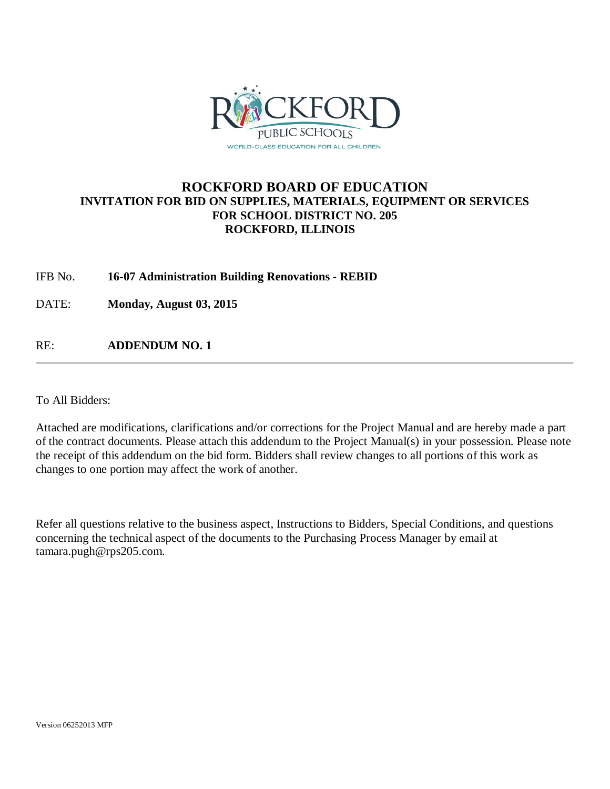

### **ROCKFORD BOARD OF EDUCATION INVITATION FOR BID ON SUPPLIES, MATERIALS, EQUIPMENT OR SERVICES FOR SCHOOL DISTRICT NO. 205 ROCKFORD, ILLINOIS**

### IFB No. **16-07 Administration Building Renovations - REBID**

DATE: **Monday, August 03, 2015**

RE: **ADDENDUM NO. 1**

To All Bidders:

Attached are modifications, clarifications and/or corrections for the Project Manual and are hereby made a part of the contract documents. Please attach this addendum to the Project Manual(s) in your possession. Please note the receipt of this addendum on the bid form. Bidders shall review changes to all portions of this work as changes to one portion may affect the work of another.

Refer all questions relative to the business aspect, Instructions to Bidders, Special Conditions, and questions concerning the technical aspect of the documents to the Purchasing Process Manager by email at tamara.pugh@rps205.com.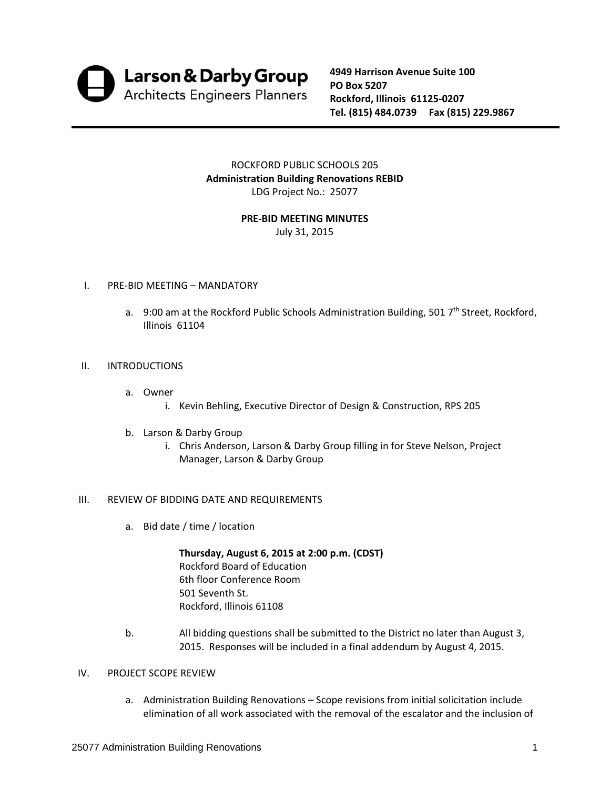

**4949 Harrison Avenue Suite 100 PO Box 5207 Rockford, Illinois 61125‐0207 Tel. (815) 484.0739 Fax (815) 229.9867**

ROCKFORD PUBLIC SCHOOLS 205 **Administration Building Renovations REBID** LDG Project No.: 25077

### **PRE‐BID MEETING MINUTES**

July 31, 2015

### I. PRE‐BID MEETING – MANDATORY

a. 9:00 am at the Rockford Public Schools Administration Building, 501 7<sup>th</sup> Street, Rockford, Illinois 61104

### II. INTRODUCTIONS

- a. Owner
	- i. Kevin Behling, Executive Director of Design & Construction, RPS 205
- b. Larson & Darby Group
	- i. Chris Anderson, Larson & Darby Group filling in for Steve Nelson, Project Manager, Larson & Darby Group

### III. REVIEW OF BIDDING DATE AND REQUIREMENTS

a. Bid date / time / location

**Thursday, August 6, 2015 at 2:00 p.m. (CDST)** Rockford Board of Education 6th floor Conference Room 501 Seventh St. Rockford, Illinois 61108

b. All bidding questions shall be submitted to the District no later than August 3, 2015. Responses will be included in a final addendum by August 4, 2015.

### IV. PROJECT SCOPE REVIEW

a. Administration Building Renovations – Scope revisions from initial solicitation include elimination of all work associated with the removal of the escalator and the inclusion of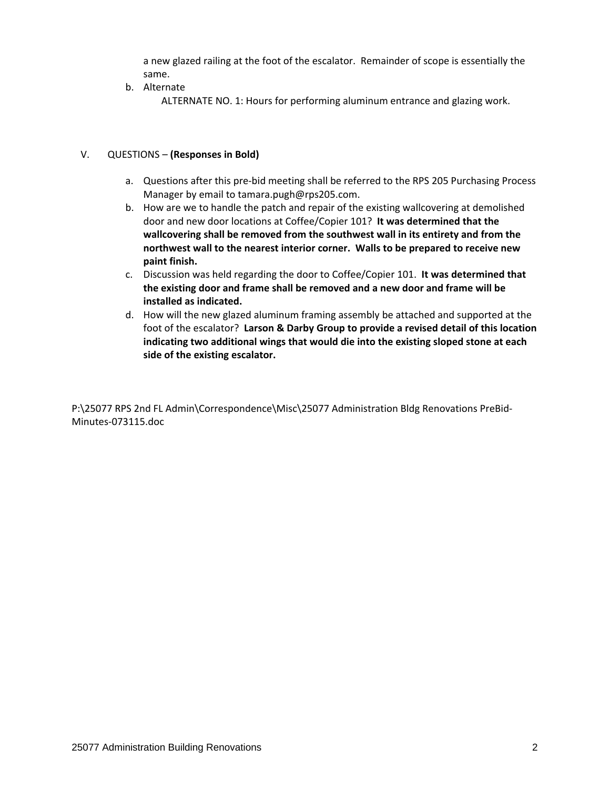a new glazed railing at the foot of the escalator. Remainder of scope is essentially the same.

b. Alternate

ALTERNATE NO. 1: Hours for performing aluminum entrance and glazing work.

### V. QUESTIONS – **(Responses in Bold)**

- a. Questions after this pre-bid meeting shall be referred to the RPS 205 Purchasing Process Manager by email to tamara.pugh@rps205.com.
- b. How are we to handle the patch and repair of the existing wallcovering at demolished door and new door locations at Coffee/Copier 101? **It was determined that the wallcovering shall be removed from the southwest wall in its entirety and from the northwest wall to the nearest interior corner. Walls to be prepared to receive new paint finish.**
- c. Discussion was held regarding the door to Coffee/Copier 101. **It was determined that the existing door and frame shall be removed and a new door and frame will be installed as indicated.**
- d. How will the new glazed aluminum framing assembly be attached and supported at the foot of the escalator? **Larson & Darby Group to provide a revised detail of this location indicating two additional wings that would die into the existing sloped stone at each side of the existing escalator.**

P:\25077 RPS 2nd FL Admin\Correspondence\Misc\25077 Administration Bldg Renovations PreBid‐ Minutes‐073115.doc